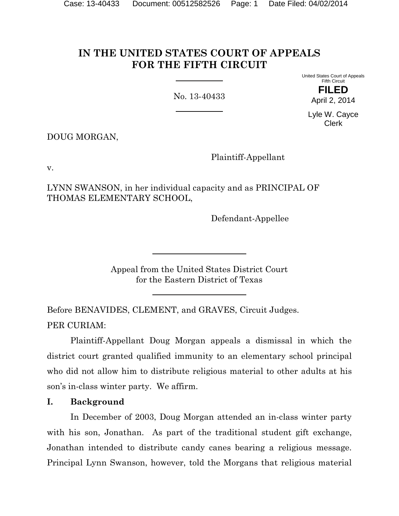# **IN THE UNITED STATES COURT OF APPEALS FOR THE FIFTH CIRCUIT**

No. 13-40433

United States Court of Appeals Fifth Circuit **FILED**

April 2, 2014

Lyle W. Cayce Clerk

DOUG MORGAN,

Plaintiff-Appellant

v.

LYNN SWANSON, in her individual capacity and as PRINCIPAL OF THOMAS ELEMENTARY SCHOOL,

Defendant-Appellee

Appeal from the United States District Court for the Eastern District of Texas

Before BENAVIDES, CLEMENT, and GRAVES, Circuit Judges. PER CURIAM:

Plaintiff-Appellant Doug Morgan appeals a dismissal in which the district court granted qualified immunity to an elementary school principal who did not allow him to distribute religious material to other adults at his son's in-class winter party. We affirm.

# **I. Background**

In December of 2003, Doug Morgan attended an in-class winter party with his son, Jonathan. As part of the traditional student gift exchange, Jonathan intended to distribute candy canes bearing a religious message. Principal Lynn Swanson, however, told the Morgans that religious material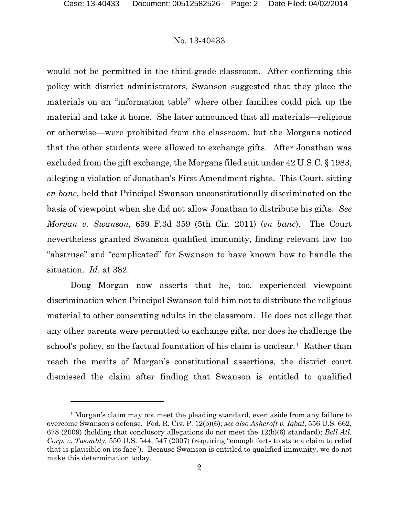$\overline{a}$ 

#### No. 13-40433

would not be permitted in the third-grade classroom. After confirming this policy with district administrators, Swanson suggested that they place the materials on an "information table" where other families could pick up the material and take it home. She later announced that all materials—religious or otherwise—were prohibited from the classroom, but the Morgans noticed that the other students were allowed to exchange gifts. After Jonathan was excluded from the gift exchange, the Morgans filed suit under 42 U.S.C. § 1983, alleging a violation of Jonathan's First Amendment rights. This Court, sitting *en banc*, held that Principal Swanson unconstitutionally discriminated on the basis of viewpoint when she did not allow Jonathan to distribute his gifts. *See Morgan v. Swanson*, 659 F.3d 359 (5th Cir. 2011) (*en banc*). The Court nevertheless granted Swanson qualified immunity, finding relevant law too "abstruse" and "complicated" for Swanson to have known how to handle the situation. *Id*. at 382.

Doug Morgan now asserts that he, too, experienced viewpoint discrimination when Principal Swanson told him not to distribute the religious material to other consenting adults in the classroom. He does not allege that any other parents were permitted to exchange gifts, nor does he challenge the school's policy, so the factual foundation of his claim is unclear.<sup>1</sup> Rather than reach the merits of Morgan's constitutional assertions, the district court dismissed the claim after finding that Swanson is entitled to qualified

<span id="page-1-0"></span><sup>1</sup> Morgan's claim may not meet the pleading standard, even aside from any failure to overcome Swanson's defense. Fed. R. Civ. P. 12(b)(6); *see also Ashcroft v. Iqbal*, 556 U.S. 662, 678 (2009) (holding that conclusory allegations do not meet the 12(b)(6) standard); *Bell Atl. Corp. v. Twombly*, 550 U.S. 544, 547 (2007) (requiring "enough facts to state a claim to relief that is plausible on its face"). Because Swanson is entitled to qualified immunity, we do not make this determination today.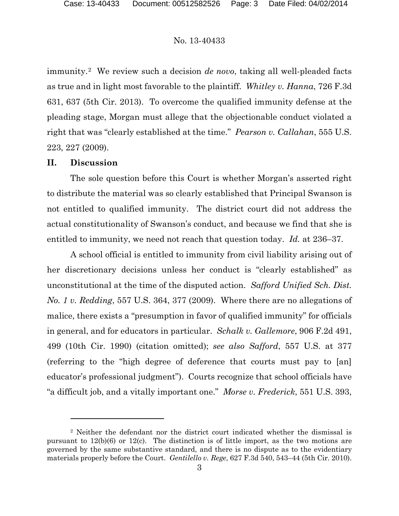immunity.[2](#page-2-0) We review such a decision *de novo*, taking all well-pleaded facts as true and in light most favorable to the plaintiff. *Whitley v. Hanna*, 726 F.3d 631, 637 (5th Cir. 2013). To overcome the qualified immunity defense at the pleading stage, Morgan must allege that the objectionable conduct violated a right that was "clearly established at the time." *Pearson v. Callahan*, 555 U.S. 223, 227 (2009).

# **II. Discussion**

 $\overline{a}$ 

The sole question before this Court is whether Morgan's asserted right to distribute the material was so clearly established that Principal Swanson is not entitled to qualified immunity. The district court did not address the actual constitutionality of Swanson's conduct, and because we find that she is entitled to immunity, we need not reach that question today. *Id.* at 236–37.

A school official is entitled to immunity from civil liability arising out of her discretionary decisions unless her conduct is "clearly established" as unconstitutional at the time of the disputed action. *Safford Unified Sch. Dist. No. 1 v. Redding*, 557 U.S. 364, 377 (2009). Where there are no allegations of malice, there exists a "presumption in favor of qualified immunity" for officials in general, and for educators in particular. *Schalk v. Gallemore*, 906 F.2d 491, 499 (10th Cir. 1990) (citation omitted); *see also Safford*, 557 U.S. at 377 (referring to the "high degree of deference that courts must pay to [an] educator's professional judgment"). Courts recognize that school officials have "a difficult job, and a vitally important one." *Morse v. Frederick*, 551 U.S. 393,

<span id="page-2-0"></span><sup>&</sup>lt;sup>2</sup> Neither the defendant nor the district court indicated whether the dismissal is pursuant to 12(b)(6) or 12(c). The distinction is of little import, as the two motions are governed by the same substantive standard, and there is no dispute as to the evidentiary materials properly before the Court. *Gentilello v. Rege*, 627 F.3d 540, 543–44 (5th Cir. 2010).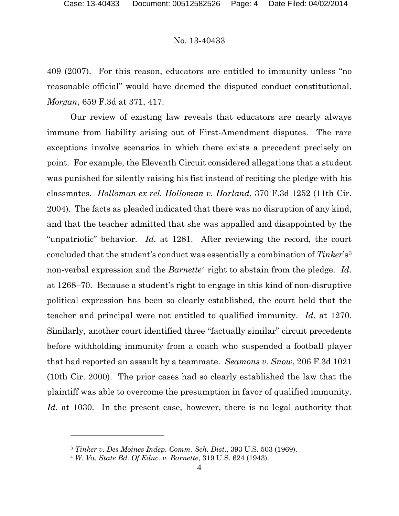409 (2007). For this reason, educators are entitled to immunity unless "no reasonable official" would have deemed the disputed conduct constitutional. *Morgan*, 659 F.3d at 371, 417.

Our review of existing law reveals that educators are nearly always immune from liability arising out of First-Amendment disputes. The rare exceptions involve scenarios in which there exists a precedent precisely on point. For example, the Eleventh Circuit considered allegations that a student was punished for silently raising his fist instead of reciting the pledge with his classmates. *Holloman ex rel. Holloman v. Harland*, 370 F.3d 1252 (11th Cir. 2004). The facts as pleaded indicated that there was no disruption of any kind, and that the teacher admitted that she was appalled and disappointed by the "unpatriotic" behavior. *Id*. at 1281. After reviewing the record, the court concluded that the student's conduct was essentially a combination of *Tinker*'s<sup>[3](#page-3-0)</sup> non-verbal expression and the *Barnette*[4](#page-3-1) right to abstain from the pledge. *Id*. at 1268–70. Because a student's right to engage in this kind of non-disruptive political expression has been so clearly established, the court held that the teacher and principal were not entitled to qualified immunity. *Id*. at 1270. Similarly, another court identified three "factually similar" circuit precedents before withholding immunity from a coach who suspended a football player that had reported an assault by a teammate. *Seamons v. Snow*, 206 F.3d 1021 (10th Cir. 2000). The prior cases had so clearly established the law that the plaintiff was able to overcome the presumption in favor of qualified immunity. *Id*. at 1030. In the present case, however, there is no legal authority that

 $\overline{a}$ 

<span id="page-3-0"></span><sup>3</sup> *Tinker v. Des Moines Indep. Comm. Sch. Dist*., 393 U.S. 503 (1969).

<span id="page-3-1"></span><sup>4</sup> *W. Va. State Bd. Of Educ. v. Barnette*, 319 U.S. 624 (1943).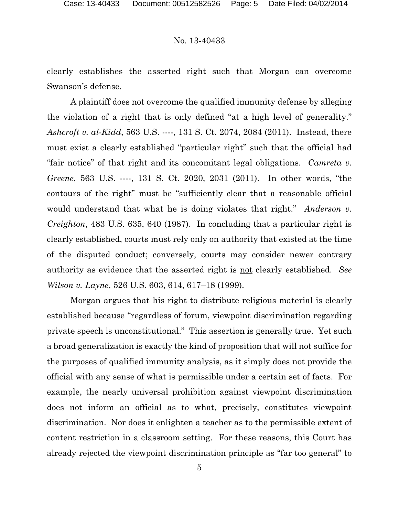clearly establishes the asserted right such that Morgan can overcome Swanson's defense.

A plaintiff does not overcome the qualified immunity defense by alleging the violation of a right that is only defined "at a high level of generality." *Ashcroft v. al-Kidd*, 563 U.S. ----, 131 S. Ct. 2074, 2084 (2011). Instead, there must exist a clearly established "particular right" such that the official had "fair notice" of that right and its concomitant legal obligations. *Camreta v. Greene*, 563 U.S. ----, 131 S. Ct. 2020, 2031 (2011). In other words, "the contours of the right" must be "sufficiently clear that a reasonable official would understand that what he is doing violates that right." *Anderson v. Creighton*, 483 U.S. 635, 640 (1987). In concluding that a particular right is clearly established, courts must rely only on authority that existed at the time of the disputed conduct; conversely, courts may consider newer contrary authority as evidence that the asserted right is not clearly established. *See Wilson v. Layne*, 526 U.S. 603, 614, 617–18 (1999).

Morgan argues that his right to distribute religious material is clearly established because "regardless of forum, viewpoint discrimination regarding private speech is unconstitutional." This assertion is generally true. Yet such a broad generalization is exactly the kind of proposition that will not suffice for the purposes of qualified immunity analysis, as it simply does not provide the official with any sense of what is permissible under a certain set of facts. For example, the nearly universal prohibition against viewpoint discrimination does not inform an official as to what, precisely, constitutes viewpoint discrimination. Nor does it enlighten a teacher as to the permissible extent of content restriction in a classroom setting. For these reasons, this Court has already rejected the viewpoint discrimination principle as "far too general" to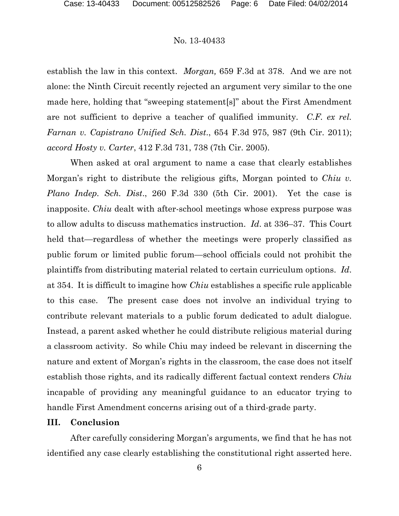establish the law in this context. *Morgan,* 659 F.3d at 378. And we are not alone: the Ninth Circuit recently rejected an argument very similar to the one made here, holding that "sweeping statement[s]" about the First Amendment are not sufficient to deprive a teacher of qualified immunity. *C.F. ex rel. Farnan v. Capistrano Unified Sch. Dist*., 654 F.3d 975, 987 (9th Cir. 2011); *accord Hosty v. Carter*, 412 F.3d 731, 738 (7th Cir. 2005).

When asked at oral argument to name a case that clearly establishes Morgan's right to distribute the religious gifts, Morgan pointed to *Chiu v. Plano Indep. Sch. Dist*., 260 F.3d 330 (5th Cir. 2001). Yet the case is inapposite. *Chiu* dealt with after-school meetings whose express purpose was to allow adults to discuss mathematics instruction. *Id*. at 336–37. This Court held that—regardless of whether the meetings were properly classified as public forum or limited public forum—school officials could not prohibit the plaintiffs from distributing material related to certain curriculum options. *Id*. at 354. It is difficult to imagine how *Chiu* establishes a specific rule applicable to this case. The present case does not involve an individual trying to contribute relevant materials to a public forum dedicated to adult dialogue. Instead, a parent asked whether he could distribute religious material during a classroom activity. So while Chiu may indeed be relevant in discerning the nature and extent of Morgan's rights in the classroom, the case does not itself establish those rights, and its radically different factual context renders *Chiu* incapable of providing any meaningful guidance to an educator trying to handle First Amendment concerns arising out of a third-grade party.

## **III. Conclusion**

After carefully considering Morgan's arguments, we find that he has not identified any case clearly establishing the constitutional right asserted here.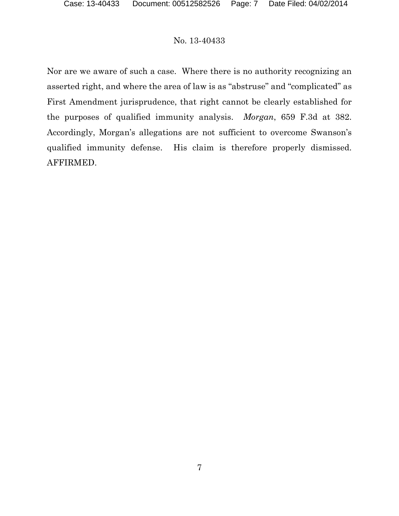Nor are we aware of such a case. Where there is no authority recognizing an asserted right, and where the area of law is as "abstruse" and "complicated" as First Amendment jurisprudence, that right cannot be clearly established for the purposes of qualified immunity analysis. *Morgan*, 659 F.3d at 382. Accordingly, Morgan's allegations are not sufficient to overcome Swanson's qualified immunity defense. His claim is therefore properly dismissed. AFFIRMED.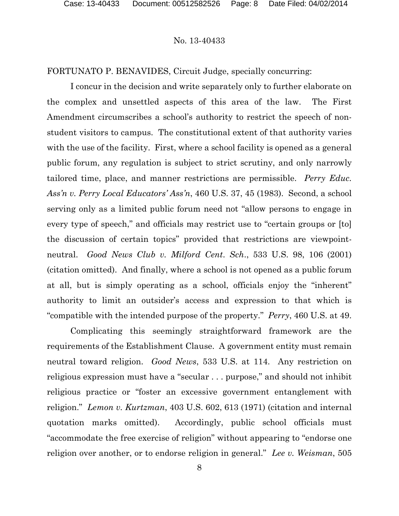FORTUNATO P. BENAVIDES, Circuit Judge, specially concurring:

I concur in the decision and write separately only to further elaborate on the complex and unsettled aspects of this area of the law. The First Amendment circumscribes a school's authority to restrict the speech of nonstudent visitors to campus. The constitutional extent of that authority varies with the use of the facility. First, where a school facility is opened as a general public forum, any regulation is subject to strict scrutiny, and only narrowly tailored time, place, and manner restrictions are permissible. *Perry Educ. Ass'n v. Perry Local Educators' Ass'n*, 460 U.S. 37, 45 (1983). Second, a school serving only as a limited public forum need not "allow persons to engage in every type of speech," and officials may restrict use to "certain groups or [to] the discussion of certain topics" provided that restrictions are viewpointneutral. *Good News Club v. Milford Cent*. *Sch*., 533 U.S. 98, 106 (2001) (citation omitted). And finally, where a school is not opened as a public forum at all, but is simply operating as a school, officials enjoy the "inherent" authority to limit an outsider's access and expression to that which is "compatible with the intended purpose of the property." *Perry*, 460 U.S. at 49.

Complicating this seemingly straightforward framework are the requirements of the Establishment Clause. A government entity must remain neutral toward religion. *Good News*, 533 U.S. at 114. Any restriction on religious expression must have a "secular . . . purpose," and should not inhibit religious practice or "foster an excessive government entanglement with religion." *Lemon v. Kurtzman*, 403 U.S. 602, 613 (1971) (citation and internal quotation marks omitted). Accordingly, public school officials must "accommodate the free exercise of religion" without appearing to "endorse one religion over another, or to endorse religion in general." *Lee v. Weisman*, 505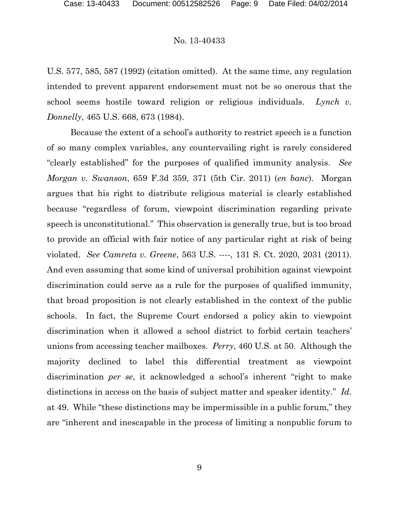U.S. 577, 585, 587 (1992) (citation omitted). At the same time, any regulation intended to prevent apparent endorsement must not be so onerous that the school seems hostile toward religion or religious individuals. *Lynch v. Donnelly*, 465 U.S. 668, 673 (1984).

Because the extent of a school's authority to restrict speech is a function of so many complex variables, any countervailing right is rarely considered "clearly established" for the purposes of qualified immunity analysis. *See Morgan v. Swanson*, 659 F.3d 359, 371 (5th Cir. 2011) (*en banc*). Morgan argues that his right to distribute religious material is clearly established because "regardless of forum, viewpoint discrimination regarding private speech is unconstitutional." This observation is generally true, but is too broad to provide an official with fair notice of any particular right at risk of being violated. *See Camreta v. Greene*, 563 U.S. ----, 131 S. Ct. 2020, 2031 (2011). And even assuming that some kind of universal prohibition against viewpoint discrimination could serve as a rule for the purposes of qualified immunity, that broad proposition is not clearly established in the context of the public schools. In fact, the Supreme Court endorsed a policy akin to viewpoint discrimination when it allowed a school district to forbid certain teachers' unions from accessing teacher mailboxes. *Perry*, 460 U.S. at 50. Although the majority declined to label this differential treatment as viewpoint discrimination *per se*, it acknowledged a school's inherent "right to make distinctions in access on the basis of subject matter and speaker identity." *Id*. at 49. While "these distinctions may be impermissible in a public forum," they are "inherent and inescapable in the process of limiting a nonpublic forum to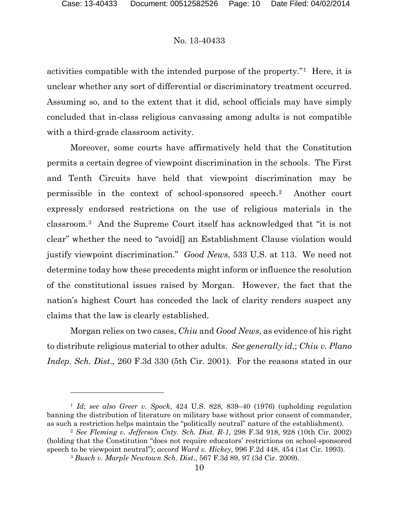l

#### No. 13-40433

activities compatible with the intended purpose of the property."[1](#page-9-0) Here, it is unclear whether any sort of differential or discriminatory treatment occurred. Assuming so, and to the extent that it did, school officials may have simply concluded that in-class religious canvassing among adults is not compatible with a third-grade classroom activity.

Moreover, some courts have affirmatively held that the Constitution permits a certain degree of viewpoint discrimination in the schools. The First and Tenth Circuits have held that viewpoint discrimination may be permissible in the context of school-sponsored speech.[2](#page-9-1) Another court expressly endorsed restrictions on the use of religious materials in the classroom.[3](#page-9-2) And the Supreme Court itself has acknowledged that "it is not clear" whether the need to "avoid[] an Establishment Clause violation would justify viewpoint discrimination." *Good News*, 533 U.S. at 113. We need not determine today how these precedents might inform or influence the resolution of the constitutional issues raised by Morgan. However, the fact that the nation's highest Court has conceded the lack of clarity renders suspect any claims that the law is clearly established.

Morgan relies on two cases, *Chiu* and *Good News*, as evidence of his right to distribute religious material to other adults. *See generally id*.; *Chiu v. Plano Indep. Sch. Dist*., 260 F.3d 330 (5th Cir. 2001). For the reasons stated in our

<span id="page-9-0"></span><sup>1</sup> *Id*; *see also Greer v. Spock*, 424 U.S. 828, 839–40 (1976) (upholding regulation banning the distribution of literature on military base without prior consent of commander, as such a restriction helps maintain the "politically neutral" nature of the establishment).

<span id="page-9-2"></span><span id="page-9-1"></span><sup>2</sup> *See Fleming v. Jefferson Cnty. Sch. Dist. R-1*, 298 F.3d 918, 928 (10th Cir. 2002) (holding that the Constitution "does not require educators' restrictions on school-sponsored speech to be viewpoint neutral"); *accord Ward v. Hickey*, 996 F.2d 448, 454 (1st Cir. 1993).

<sup>3</sup> *Busch v. Marple Newtown Sch*. *Dist*., 567 F.3d 89, 97 (3d Cir. 2009).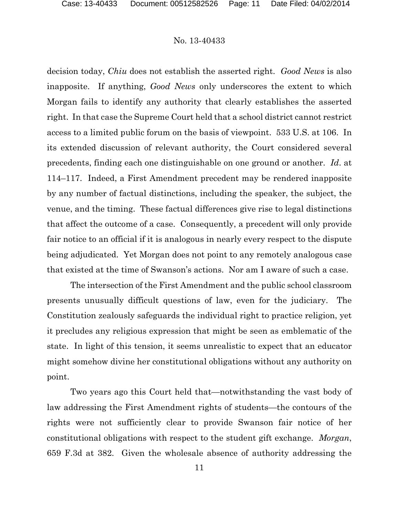decision today, *Chiu* does not establish the asserted right. *Good News* is also inapposite. If anything, *Good News* only underscores the extent to which Morgan fails to identify any authority that clearly establishes the asserted right. In that case the Supreme Court held that a school district cannot restrict access to a limited public forum on the basis of viewpoint. 533 U.S. at 106. In its extended discussion of relevant authority, the Court considered several precedents, finding each one distinguishable on one ground or another. *Id*. at 114–117. Indeed, a First Amendment precedent may be rendered inapposite by any number of factual distinctions, including the speaker, the subject, the venue, and the timing. These factual differences give rise to legal distinctions that affect the outcome of a case. Consequently, a precedent will only provide fair notice to an official if it is analogous in nearly every respect to the dispute being adjudicated. Yet Morgan does not point to any remotely analogous case that existed at the time of Swanson's actions. Nor am I aware of such a case.

The intersection of the First Amendment and the public school classroom presents unusually difficult questions of law, even for the judiciary. The Constitution zealously safeguards the individual right to practice religion, yet it precludes any religious expression that might be seen as emblematic of the state. In light of this tension, it seems unrealistic to expect that an educator might somehow divine her constitutional obligations without any authority on point.

Two years ago this Court held that—notwithstanding the vast body of law addressing the First Amendment rights of students—the contours of the rights were not sufficiently clear to provide Swanson fair notice of her constitutional obligations with respect to the student gift exchange. *Morgan*, 659 F.3d at 382. Given the wholesale absence of authority addressing the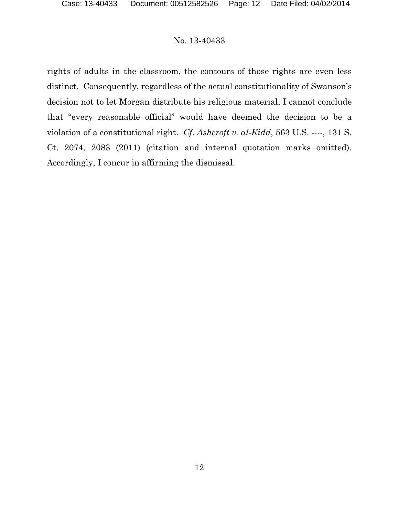rights of adults in the classroom, the contours of those rights are even less distinct. Consequently, regardless of the actual constitutionality of Swanson's decision not to let Morgan distribute his religious material, I cannot conclude that "every reasonable official" would have deemed the decision to be a violation of a constitutional right. *Cf*. *Ashcroft v. al-Kidd*, 563 U.S. ----, 131 S. Ct. 2074, 2083 (2011) (citation and internal quotation marks omitted). Accordingly, I concur in affirming the dismissal.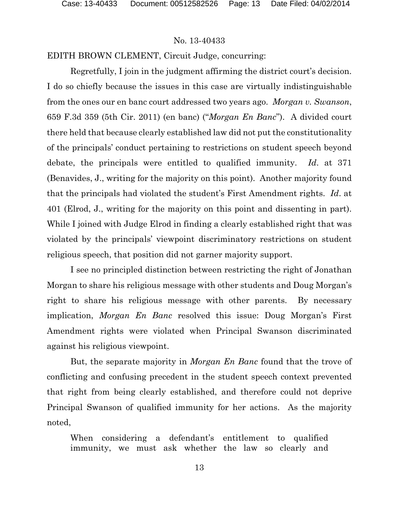### EDITH BROWN CLEMENT, Circuit Judge, concurring:

Regretfully, I join in the judgment affirming the district court's decision. I do so chiefly because the issues in this case are virtually indistinguishable from the ones our en banc court addressed two years ago. *Morgan v. Swanson*, 659 F.3d 359 (5th Cir. 2011) (en banc) ("*Morgan En Banc*"). A divided court there held that because clearly established law did not put the constitutionality of the principals' conduct pertaining to restrictions on student speech beyond debate, the principals were entitled to qualified immunity. *Id*. at 371 (Benavides, J., writing for the majority on this point). Another majority found that the principals had violated the student's First Amendment rights. *Id*. at 401 (Elrod, J., writing for the majority on this point and dissenting in part). While I joined with Judge Elrod in finding a clearly established right that was violated by the principals' viewpoint discriminatory restrictions on student religious speech, that position did not garner majority support.

I see no principled distinction between restricting the right of Jonathan Morgan to share his religious message with other students and Doug Morgan's right to share his religious message with other parents. By necessary implication, *Morgan En Banc* resolved this issue: Doug Morgan's First Amendment rights were violated when Principal Swanson discriminated against his religious viewpoint.

But, the separate majority in *Morgan En Banc* found that the trove of conflicting and confusing precedent in the student speech context prevented that right from being clearly established, and therefore could not deprive Principal Swanson of qualified immunity for her actions. As the majority noted,

When considering a defendant's entitlement to qualified immunity, we must ask whether the law so clearly and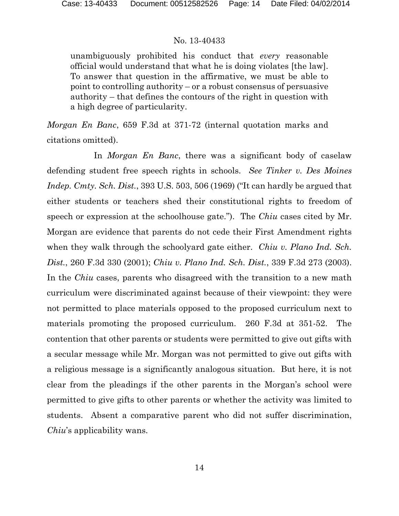unambiguously prohibited his conduct that *every* reasonable official would understand that what he is doing violates [the law]. To answer that question in the affirmative, we must be able to point to controlling authority – or a robust consensus of persuasive authority – that defines the contours of the right in question with a high degree of particularity.

*Morgan En Banc*, 659 F.3d at 371-72 (internal quotation marks and citations omitted).

In *Morgan En Banc*, there was a significant body of caselaw defending student free speech rights in schools. *See Tinker v. Des Moines Indep. Cmty. Sch. Dist.*, 393 U.S. 503, 506 (1969) ("It can hardly be argued that either students or teachers shed their constitutional rights to freedom of speech or expression at the schoolhouse gate."). The *Chiu* cases cited by Mr. Morgan are evidence that parents do not cede their First Amendment rights when they walk through the schoolyard gate either. *Chiu v. Plano Ind. Sch. Dist.*, 260 F.3d 330 (2001); *Chiu v. Plano Ind. Sch. Dist.*, 339 F.3d 273 (2003). In the *Chiu* cases, parents who disagreed with the transition to a new math curriculum were discriminated against because of their viewpoint: they were not permitted to place materials opposed to the proposed curriculum next to materials promoting the proposed curriculum. 260 F.3d at 351-52. The contention that other parents or students were permitted to give out gifts with a secular message while Mr. Morgan was not permitted to give out gifts with a religious message is a significantly analogous situation. But here, it is not clear from the pleadings if the other parents in the Morgan's school were permitted to give gifts to other parents or whether the activity was limited to students. Absent a comparative parent who did not suffer discrimination, *Chiu*'s applicability wans.